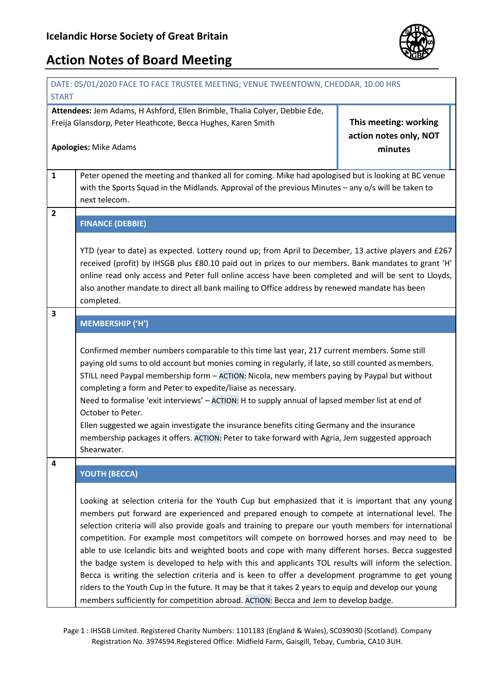

| DATE: 05/01/2020 FACE TO FACE TRUSTEE MEETING; VENUE TWEENTOWN, CHEDDAR, 10.00 HRS                                                         |                                                                                                                                                                                                                                                                                                                                                                                                                                                                                                                                                                                                                                                                                                                                                                                                                                                                                                                                     |                                                 |  |
|--------------------------------------------------------------------------------------------------------------------------------------------|-------------------------------------------------------------------------------------------------------------------------------------------------------------------------------------------------------------------------------------------------------------------------------------------------------------------------------------------------------------------------------------------------------------------------------------------------------------------------------------------------------------------------------------------------------------------------------------------------------------------------------------------------------------------------------------------------------------------------------------------------------------------------------------------------------------------------------------------------------------------------------------------------------------------------------------|-------------------------------------------------|--|
| <b>START</b>                                                                                                                               |                                                                                                                                                                                                                                                                                                                                                                                                                                                                                                                                                                                                                                                                                                                                                                                                                                                                                                                                     |                                                 |  |
| Attendees: Jem Adams, H Ashford, Ellen Brimble, Thalia Colyer, Debbie Ede,<br>Freija Glansdorp, Peter Heathcote, Becca Hughes, Karen Smith |                                                                                                                                                                                                                                                                                                                                                                                                                                                                                                                                                                                                                                                                                                                                                                                                                                                                                                                                     | This meeting: working<br>action notes only, NOT |  |
| <b>Apologies: Mike Adams</b>                                                                                                               |                                                                                                                                                                                                                                                                                                                                                                                                                                                                                                                                                                                                                                                                                                                                                                                                                                                                                                                                     | minutes                                         |  |
| $\mathbf{1}$                                                                                                                               | Peter opened the meeting and thanked all for coming. Mike had apologised but is looking at BC venue<br>with the Sports Squad in the Midlands. Approval of the previous Minutes - any o/s will be taken to<br>next telecom.                                                                                                                                                                                                                                                                                                                                                                                                                                                                                                                                                                                                                                                                                                          |                                                 |  |
| $\overline{2}$                                                                                                                             | <b>FINANCE (DEBBIE)</b>                                                                                                                                                                                                                                                                                                                                                                                                                                                                                                                                                                                                                                                                                                                                                                                                                                                                                                             |                                                 |  |
|                                                                                                                                            | YTD (year to date) as expected. Lottery round up; from April to December, 13 active players and £267<br>received (profit) by IHSGB plus £80.10 paid out in prizes to our members. Bank mandates to grant 'H'<br>online read only access and Peter full online access have been completed and will be sent to Lloyds,<br>also another mandate to direct all bank mailing to Office address by renewed mandate has been<br>completed.                                                                                                                                                                                                                                                                                                                                                                                                                                                                                                 |                                                 |  |
| 3                                                                                                                                          | <b>MEMBERSHIP ('H')</b>                                                                                                                                                                                                                                                                                                                                                                                                                                                                                                                                                                                                                                                                                                                                                                                                                                                                                                             |                                                 |  |
|                                                                                                                                            | Confirmed member numbers comparable to this time last year, 217 current members. Some still<br>paying old sums to old account but monies coming in regularly, if late, so still counted as members.<br>STILL need Paypal membership form - ACTION: Nicola, new members paying by Paypal but without<br>completing a form and Peter to expedite/liaise as necessary.<br>Need to formalise 'exit interviews' - ACTION: H to supply annual of lapsed member list at end of<br>October to Peter.<br>Ellen suggested we again investigate the insurance benefits citing Germany and the insurance<br>membership packages it offers. ACTION: Peter to take forward with Agria, Jem suggested approach<br>Shearwater.                                                                                                                                                                                                                      |                                                 |  |
| 4                                                                                                                                          | <b>YOUTH (BECCA)</b>                                                                                                                                                                                                                                                                                                                                                                                                                                                                                                                                                                                                                                                                                                                                                                                                                                                                                                                |                                                 |  |
|                                                                                                                                            | Looking at selection criteria for the Youth Cup but emphasized that it is important that any young<br>members put forward are experienced and prepared enough to compete at international level. The<br>selection criteria will also provide goals and training to prepare our youth members for international<br>competition. For example most competitors will compete on borrowed horses and may need to be<br>able to use Icelandic bits and weighted boots and cope with many different horses. Becca suggested<br>the badge system is developed to help with this and applicants TOL results will inform the selection.<br>Becca is writing the selection criteria and is keen to offer a development programme to get young<br>riders to the Youth Cup in the future. It may be that it takes 2 years to equip and develop our young<br>members sufficiently for competition abroad. ACTION: Becca and Jem to develop badge. |                                                 |  |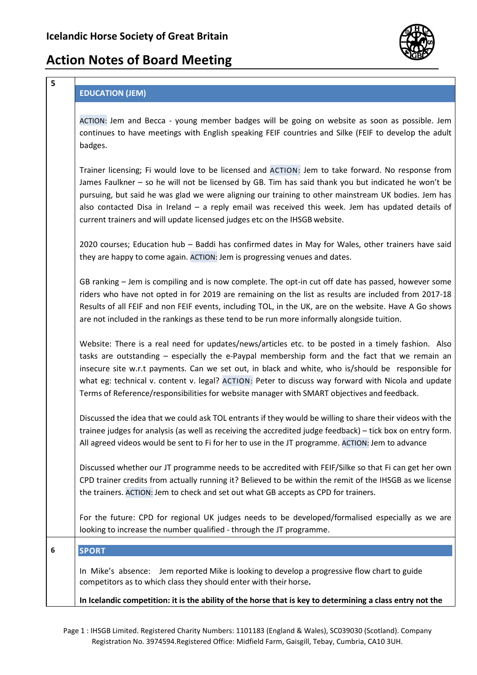

#### **EDUCATION (JEM)**

**5**

ACTION: Jem and Becca - young member badges will be going on website as soon as possible. Jem continues to have meetings with English speaking FEIF countries and Silke (FEIF to develop the adult badges.

Trainer licensing; Fi would love to be licensed and ACTION: Jem to take forward. No response from James Faulkner – so he will not be licensed by GB. Tim has said thank you but indicated he won't be pursuing, but said he was glad we were aligning our training to other mainstream UK bodies. Jem has also contacted Disa in Ireland – a reply email was received this week. Jem has updated details of current trainers and will update licensed judges etc on the IHSGB website.

2020 courses; Education hub – Baddi has confirmed dates in May for Wales, other trainers have said they are happy to come again. ACTION: Jem is progressing venues and dates.

GB ranking – Jem is compiling and is now complete. The opt-in cut off date has passed, however some riders who have not opted in for 2019 are remaining on the list as results are included from 2017-18 Results of all FEIF and non FEIF events, including TOL, in the UK, are on the website. Have A Go shows are not included in the rankings as these tend to be run more informally alongside tuition.

Website: There is a real need for updates/news/articles etc. to be posted in a timely fashion. Also tasks are outstanding – especially the e-Paypal membership form and the fact that we remain an insecure site w.r.t payments. Can we set out, in black and white, who is/should be responsible for what eg: technical v. content v. legal? ACTION: Peter to discuss way forward with Nicola and update Terms of Reference/responsibilities for website manager with SMART objectives and feedback.

Discussed the idea that we could ask TOL entrants if they would be willing to share their videos with the trainee judges for analysis (as well as receiving the accredited judge feedback) – tick box on entry form. All agreed videos would be sent to Fi for her to use in the JT programme. ACTION: Jem to advance

Discussed whether our JT programme needs to be accredited with FEIF/Silke so that Fi can get her own CPD trainer credits from actually running it? Believed to be within the remit of the IHSGB as we license the trainers. ACTION: Jem to check and set out what GB accepts as CPD for trainers.

For the future: CPD for regional UK judges needs to be developed/formalised especially as we are looking to increase the number qualified - through the JT programme.

**6 SPORT**

In Mike's absence: Jem reported Mike is looking to develop a progressive flow chart to guide competitors as to which class they should enter with their horse**.**

#### **In Icelandic competition: it is the ability of the horse that is key to determining a class entry not the**

Page 1 : IHSGB Limited. Registered Charity Numbers: 1101183 (England & Wales), SC039030 (Scotland). Company Registration No. 3974594.Registered Office: Midfield Farm, Gaisgill, Tebay, Cumbria, CA10 3UH.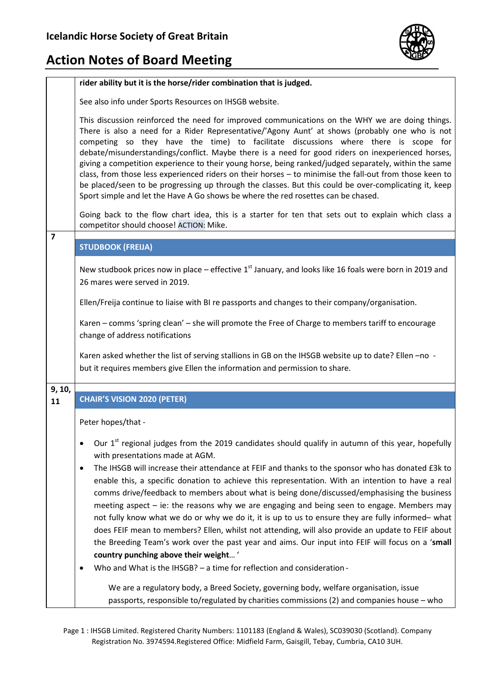

|                | rider ability but it is the horse/rider combination that is judged.                                                                                                                                                                                                                                                                                                                                                                                                                                                                                                                                                                                                                                                                                                                                                                                   |  |  |
|----------------|-------------------------------------------------------------------------------------------------------------------------------------------------------------------------------------------------------------------------------------------------------------------------------------------------------------------------------------------------------------------------------------------------------------------------------------------------------------------------------------------------------------------------------------------------------------------------------------------------------------------------------------------------------------------------------------------------------------------------------------------------------------------------------------------------------------------------------------------------------|--|--|
|                | See also info under Sports Resources on IHSGB website.                                                                                                                                                                                                                                                                                                                                                                                                                                                                                                                                                                                                                                                                                                                                                                                                |  |  |
|                | This discussion reinforced the need for improved communications on the WHY we are doing things.<br>There is also a need for a Rider Representative/'Agony Aunt' at shows (probably one who is not<br>competing so they have the time) to facilitate discussions where there is scope for<br>debate/misunderstandings/conflict. Maybe there is a need for good riders on inexperienced horses,<br>giving a competition experience to their young horse, being ranked/judged separately, within the same<br>class, from those less experienced riders on their horses - to minimise the fall-out from those keen to<br>be placed/seen to be progressing up through the classes. But this could be over-complicating it, keep<br>Sport simple and let the Have A Go shows be where the red rosettes can be chased.                                       |  |  |
|                | Going back to the flow chart idea, this is a starter for ten that sets out to explain which class a<br>competitor should choose! ACTION: Mike.                                                                                                                                                                                                                                                                                                                                                                                                                                                                                                                                                                                                                                                                                                        |  |  |
| $\overline{7}$ | <b>STUDBOOK (FREIJA)</b>                                                                                                                                                                                                                                                                                                                                                                                                                                                                                                                                                                                                                                                                                                                                                                                                                              |  |  |
|                | New studbook prices now in place – effective $1st$ January, and looks like 16 foals were born in 2019 and<br>26 mares were served in 2019.                                                                                                                                                                                                                                                                                                                                                                                                                                                                                                                                                                                                                                                                                                            |  |  |
|                | Ellen/Freija continue to liaise with BI re passports and changes to their company/organisation.                                                                                                                                                                                                                                                                                                                                                                                                                                                                                                                                                                                                                                                                                                                                                       |  |  |
|                | Karen – comms 'spring clean' – she will promote the Free of Charge to members tariff to encourage<br>change of address notifications                                                                                                                                                                                                                                                                                                                                                                                                                                                                                                                                                                                                                                                                                                                  |  |  |
|                | Karen asked whether the list of serving stallions in GB on the IHSGB website up to date? Ellen -no -<br>but it requires members give Ellen the information and permission to share.                                                                                                                                                                                                                                                                                                                                                                                                                                                                                                                                                                                                                                                                   |  |  |
| 9, 10,         |                                                                                                                                                                                                                                                                                                                                                                                                                                                                                                                                                                                                                                                                                                                                                                                                                                                       |  |  |
| 11             | <b>CHAIR'S VISION 2020 (PETER)</b>                                                                                                                                                                                                                                                                                                                                                                                                                                                                                                                                                                                                                                                                                                                                                                                                                    |  |  |
|                | Peter hopes/that -                                                                                                                                                                                                                                                                                                                                                                                                                                                                                                                                                                                                                                                                                                                                                                                                                                    |  |  |
|                | Our 1 <sup>st</sup> regional judges from the 2019 candidates should qualify in autumn of this year, hopefully<br>$\bullet$<br>with presentations made at AGM.                                                                                                                                                                                                                                                                                                                                                                                                                                                                                                                                                                                                                                                                                         |  |  |
|                | The IHSGB will increase their attendance at FEIF and thanks to the sponsor who has donated £3k to<br>$\bullet$<br>enable this, a specific donation to achieve this representation. With an intention to have a real<br>comms drive/feedback to members about what is being done/discussed/emphasising the business<br>meeting aspect – ie: the reasons why we are engaging and being seen to engage. Members may<br>not fully know what we do or why we do it, it is up to us to ensure they are fully informed- what<br>does FEIF mean to members? Ellen, whilst not attending, will also provide an update to FEIF about<br>the Breeding Team's work over the past year and aims. Our input into FEIF will focus on a 'small<br>country punching above their weight'<br>Who and What is the IHSGB? - a time for reflection and consideration -<br>٠ |  |  |
|                | We are a regulatory body, a Breed Society, governing body, welfare organisation, issue<br>passports, responsible to/regulated by charities commissions (2) and companies house - who                                                                                                                                                                                                                                                                                                                                                                                                                                                                                                                                                                                                                                                                  |  |  |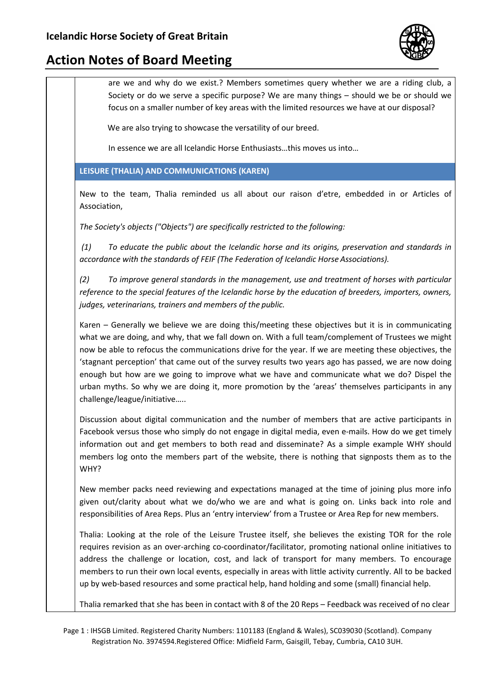

are we and why do we exist.? Members sometimes query whether we are a riding club, a Society or do we serve a specific purpose? We are many things – should we be or should we focus on a smaller number of key areas with the limited resources we have at our disposal?

We are also trying to showcase the versatility of our breed.

In essence we are all Icelandic Horse Enthusiasts…this moves us into…

**LEISURE (THALIA) AND COMMUNICATIONS (KAREN)**

New to the team, Thalia reminded us all about our raison d'etre, embedded in or Articles of Association,

*The Society's objects ("Objects") are specifically restricted to the following:*

*(1) To educate the public about the Icelandic horse and its origins, preservation and standards in accordance with the standards of FEIF (The Federation of Icelandic Horse Associations).*

*(2) To improve general standards in the management, use and treatment of horses with particular reference to the special features of the Icelandic horse by the education of breeders, importers, owners, judges, veterinarians, trainers and members of the public.*

Karen – Generally we believe we are doing this/meeting these objectives but it is in communicating what we are doing, and why, that we fall down on. With a full team/complement of Trustees we might now be able to refocus the communications drive for the year. If we are meeting these objectives, the 'stagnant perception' that came out of the survey results two years ago has passed, we are now doing enough but how are we going to improve what we have and communicate what we do? Dispel the urban myths. So why we are doing it, more promotion by the 'areas' themselves participants in any challenge/league/initiative…..

Discussion about digital communication and the number of members that are active participants in Facebook versus those who simply do not engage in digital media, even e-mails. How do we get timely information out and get members to both read and disseminate? As a simple example WHY should members log onto the members part of the website, there is nothing that signposts them as to the WHY?

New member packs need reviewing and expectations managed at the time of joining plus more info given out/clarity about what we do/who we are and what is going on. Links back into role and responsibilities of Area Reps. Plus an 'entry interview' from a Trustee or Area Rep for new members.

Thalia: Looking at the role of the Leisure Trustee itself, she believes the existing TOR for the role requires revision as an over-arching co-coordinator/facilitator, promoting national online initiatives to address the challenge or location, cost, and lack of transport for many members. To encourage members to run their own local events, especially in areas with little activity currently. All to be backed up by web-based resources and some practical help, hand holding and some (small) financial help.

Thalia remarked that she has been in contact with 8 of the 20 Reps – Feedback was received of no clear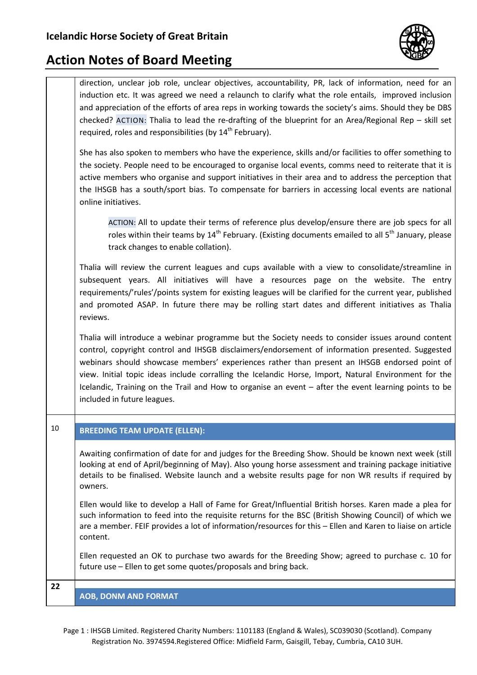

direction, unclear job role, unclear objectives, accountability, PR, lack of information, need for an induction etc. It was agreed we need a relaunch to clarify what the role entails, improved inclusion and appreciation of the efforts of area reps in working towards the society's aims. Should they be DBS checked? ACTION: Thalia to lead the re-drafting of the blueprint for an Area/Regional Rep – skill set required, roles and responsibilities (by 14<sup>th</sup> February).

She has also spoken to members who have the experience, skills and/or facilities to offer something to the society. People need to be encouraged to organise local events, comms need to reiterate that it is active members who organise and support initiatives in their area and to address the perception that the IHSGB has a south/sport bias. To compensate for barriers in accessing local events are national online initiatives.

ACTION: All to update their terms of reference plus develop/ensure there are job specs for all roles within their teams by  $14<sup>th</sup>$  February. (Existing documents emailed to all  $5<sup>th</sup>$  January, please track changes to enable collation).

Thalia will review the current leagues and cups available with a view to consolidate/streamline in subsequent years. All initiatives will have a resources page on the website. The entry requirements/'rules'/points system for existing leagues will be clarified for the current year, published and promoted ASAP. In future there may be rolling start dates and different initiatives as Thalia reviews.

Thalia will introduce a webinar programme but the Society needs to consider issues around content control, copyright control and IHSGB disclaimers/endorsement of information presented. Suggested webinars should showcase members' experiences rather than present an IHSGB endorsed point of view. Initial topic ideas include corralling the Icelandic Horse, Import, Natural Environment for the Icelandic, Training on the Trail and How to organise an event – after the event learning points to be included in future leagues.

#### 10 **BREEDING TEAM UPDATE (ELLEN):**

Awaiting confirmation of date for and judges for the Breeding Show. Should be known next week (still looking at end of April/beginning of May). Also young horse assessment and training package initiative details to be finalised. Website launch and a website results page for non WR results if required by owners.

Ellen would like to develop a Hall of Fame for Great/Influential British horses. Karen made a plea for such information to feed into the requisite returns for the BSC (British Showing Council) of which we are a member. FEIF provides a lot of information/resources for this – Ellen and Karen to liaise on article content.

Ellen requested an OK to purchase two awards for the Breeding Show; agreed to purchase c. 10 for future use – Ellen to get some quotes/proposals and bring back.

**22**

#### **AOB, DONM AND FORMAT**

Page 1 : IHSGB Limited. Registered Charity Numbers: 1101183 (England & Wales), SC039030 (Scotland). Company Registration No. 3974594.Registered Office: Midfield Farm, Gaisgill, Tebay, Cumbria, CA10 3UH.